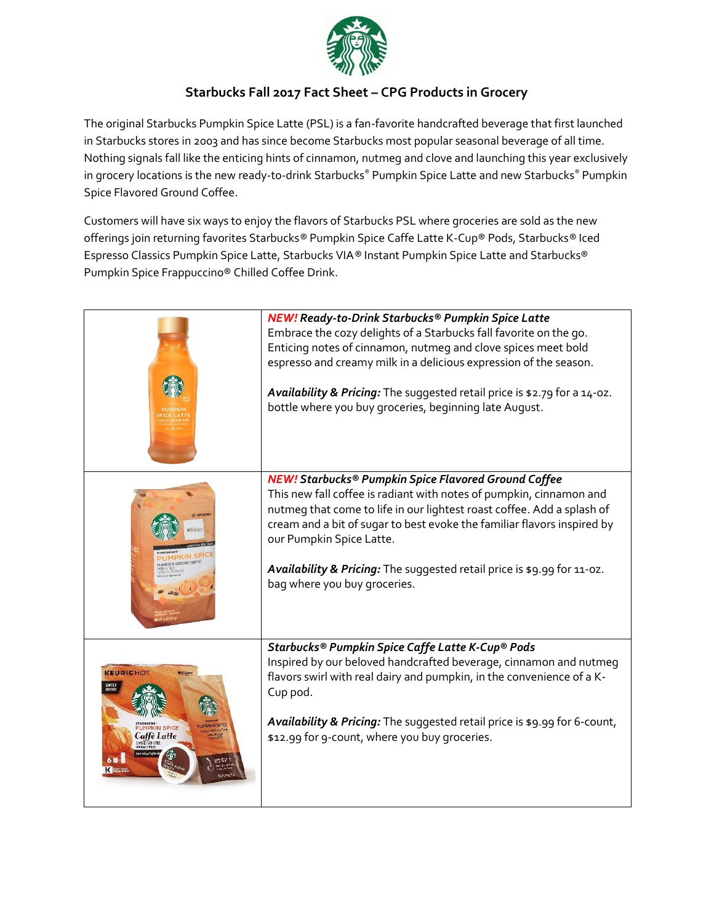

## **Starbucks Fall 2017 Fact Sheet – CPG Products in Grocery**

The original Starbucks Pumpkin Spice Latte (PSL) is a fan-favorite handcrafted beverage that first launched in Starbucks stores in 2003 and has since become Starbucks most popular seasonal beverage of all time. Nothing signals fall like the enticing hints of cinnamon, nutmeg and clove and launching this year exclusively in grocery locations is the new ready-to-drink Starbucks® Pumpkin Spice Latte and new Starbucks® Pumpkin Spice Flavored Ground Coffee.

Customers will have six ways to enjoy the flavors of Starbucks PSL where groceries are sold as the new offerings join returning favorites Starbucks*®* Pumpkin Spice Caffe Latte K-Cup® Pods, Starbucks*®* Iced Espresso Classics Pumpkin Spice Latte, Starbucks VIA*®* Instant Pumpkin Spice Latte and Starbucks® Pumpkin Spice Frappuccino® Chilled Coffee Drink.